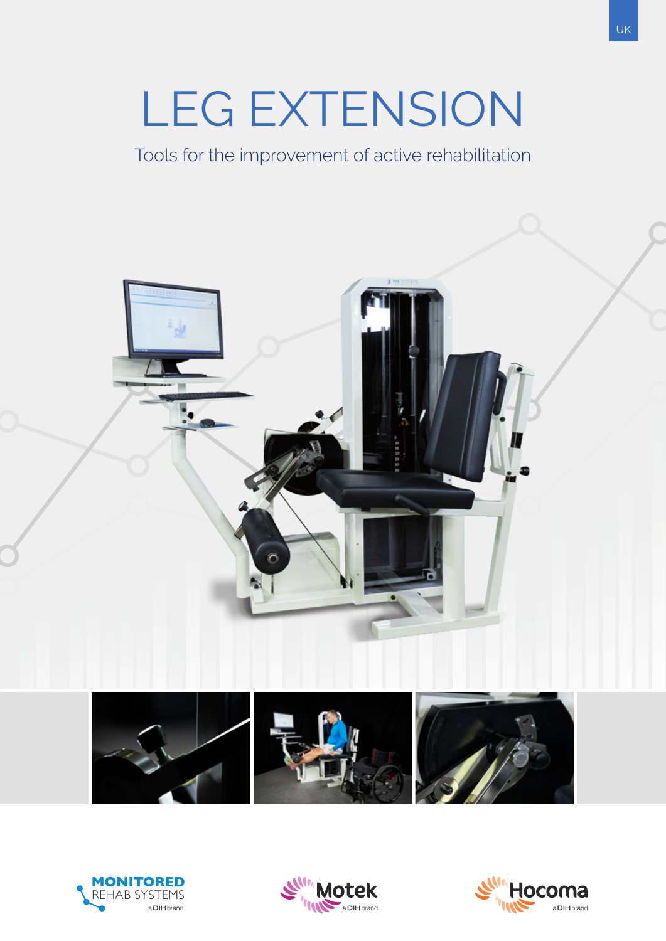# LEG EXTENSION

Tools for the improvement of active rehabilitation